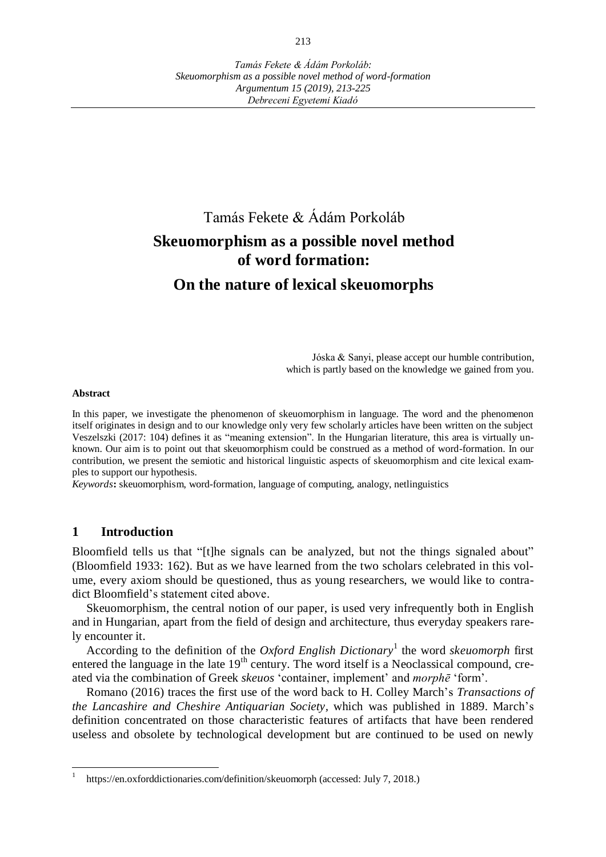# Tamás Fekete & Ádám Porkoláb **Skeuomorphism as a possible novel method of word formation:**

## **On the nature of lexical skeuomorphs**

Jóska & Sanyi, please accept our humble contribution, which is partly based on the knowledge we gained from you.

#### **Abstract**

In this paper, we investigate the phenomenon of skeuomorphism in language. The word and the phenomenon itself originates in design and to our knowledge only very few scholarly articles have been written on the subject Veszelszki (2017: 104) defines it as "meaning extension". In the Hungarian literature, this area is virtually unknown. Our aim is to point out that skeuomorphism could be construed as a method of word-formation. In our contribution, we present the semiotic and historical linguistic aspects of skeuomorphism and cite lexical examples to support our hypothesis.

*Keywords***:** skeuomorphism, word-formation, language of computing, analogy, netlinguistics

### **1 Introduction**

Bloomfield tells us that "[t]he signals can be analyzed, but not the things signaled about" (Bloomfield 1933: 162). But as we have learned from the two scholars celebrated in this volume, every axiom should be questioned, thus as young researchers, we would like to contradict Bloomfield's statement cited above.

Skeuomorphism, the central notion of our paper, is used very infrequently both in English and in Hungarian, apart from the field of design and architecture, thus everyday speakers rarely encounter it.

According to the definition of the *Oxford English Dictionary*<sup>1</sup> the word *skeuomorph* first entered the language in the late  $19<sup>th</sup>$  century. The word itself is a Neoclassical compound, created via the combination of Greek *skeuos* 'container, implement' and *morphē* 'form'.

Romano (2016) traces the first use of the word back to H. Colley March's *Transactions of the Lancashire and Cheshire Antiquarian Society,* which was published in 1889. March's definition concentrated on those characteristic features of artifacts that have been rendered useless and obsolete by technological development but are continued to be used on newly

<sup>1</sup> https://en.oxforddictionaries.com/definition/skeuomorph (accessed: July 7, 2018.)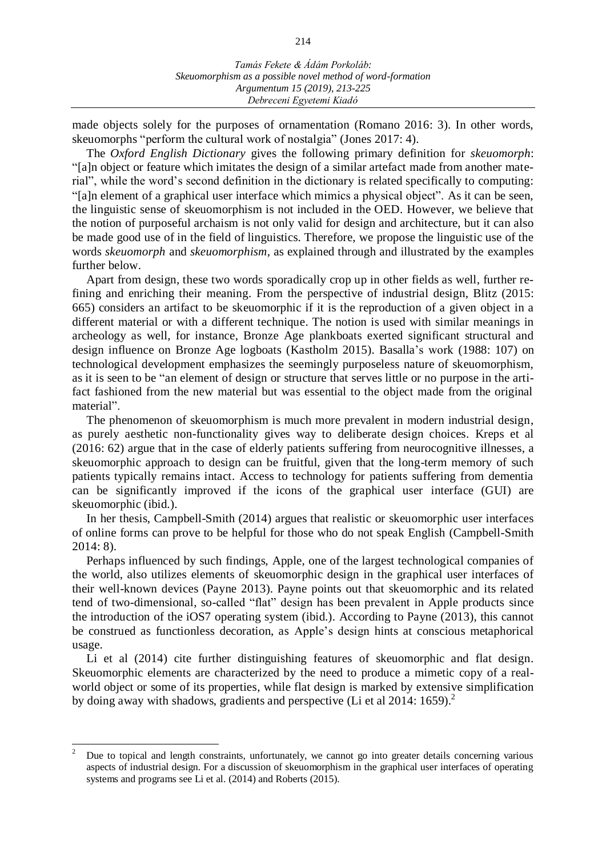made objects solely for the purposes of ornamentation (Romano 2016: 3). In other words, skeuomorphs "perform the cultural work of nostalgia" (Jones 2017: 4).

The *Oxford English Dictionary* gives the following primary definition for *skeuomorph*: "[a]n object or feature which imitates the design of a similar artefact made from another material", while the word's second definition in the dictionary is related specifically to computing: "[a]n element of a graphical user interface which mimics a physical object". As it can be seen, the linguistic sense of skeuomorphism is not included in the OED. However, we believe that the notion of purposeful archaism is not only valid for design and architecture, but it can also be made good use of in the field of linguistics. Therefore, we propose the linguistic use of the words *skeuomorph* and *skeuomorphism*, as explained through and illustrated by the examples further below.

Apart from design, these two words sporadically crop up in other fields as well, further refining and enriching their meaning. From the perspective of industrial design, Blitz (2015: 665) considers an artifact to be skeuomorphic if it is the reproduction of a given object in a different material or with a different technique. The notion is used with similar meanings in archeology as well, for instance, Bronze Age plankboats exerted significant structural and design influence on Bronze Age logboats (Kastholm 2015). Basalla's work (1988: 107) on technological development emphasizes the seemingly purposeless nature of skeuomorphism, as it is seen to be "an element of design or structure that serves little or no purpose in the artifact fashioned from the new material but was essential to the object made from the original material".

The phenomenon of skeuomorphism is much more prevalent in modern industrial design, as purely aesthetic non-functionality gives way to deliberate design choices. Kreps et al (2016: 62) argue that in the case of elderly patients suffering from neurocognitive illnesses, a skeuomorphic approach to design can be fruitful, given that the long-term memory of such patients typically remains intact. Access to technology for patients suffering from dementia can be significantly improved if the icons of the graphical user interface (GUI) are skeuomorphic (ibid.).

In her thesis, Campbell-Smith (2014) argues that realistic or skeuomorphic user interfaces of online forms can prove to be helpful for those who do not speak English (Campbell-Smith 2014: 8).

Perhaps influenced by such findings, Apple, one of the largest technological companies of the world, also utilizes elements of skeuomorphic design in the graphical user interfaces of their well-known devices (Payne 2013). Payne points out that skeuomorphic and its related tend of two-dimensional, so-called "flat" design has been prevalent in Apple products since the introduction of the iOS7 operating system (ibid.). According to Payne (2013), this cannot be construed as functionless decoration, as Apple's design hints at conscious metaphorical usage.

Li et al (2014) cite further distinguishing features of skeuomorphic and flat design. Skeuomorphic elements are characterized by the need to produce a mimetic copy of a realworld object or some of its properties, while flat design is marked by extensive simplification by doing away with shadows, gradients and perspective (Li et al 2014: 1659).<sup>2</sup>

 $\overline{a}$ 

<sup>2</sup> Due to topical and length constraints, unfortunately, we cannot go into greater details concerning various aspects of industrial design. For a discussion of skeuomorphism in the graphical user interfaces of operating systems and programs see Li et al. (2014) and Roberts (2015).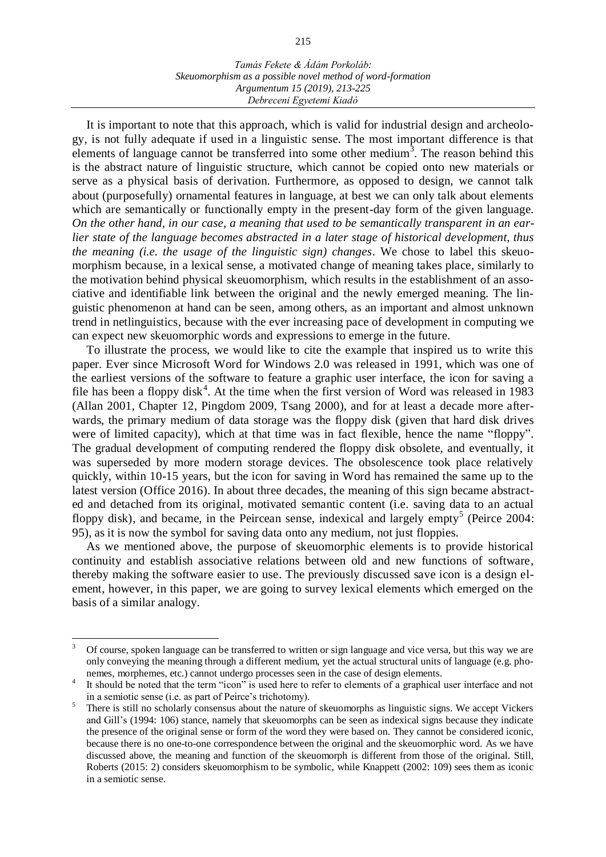It is important to note that this approach, which is valid for industrial design and archeology, is not fully adequate if used in a linguistic sense. The most important difference is that elements of language cannot be transferred into some other medium<sup>3</sup>. The reason behind this is the abstract nature of linguistic structure, which cannot be copied onto new materials or serve as a physical basis of derivation. Furthermore, as opposed to design, we cannot talk about (purposefully) ornamental features in language, at best we can only talk about elements which are semantically or functionally empty in the present-day form of the given language. *On the other hand, in our case, a meaning that used to be semantically transparent in an earlier state of the language becomes abstracted in a later stage of historical development, thus the meaning (i.e. the usage of the linguistic sign) changes*. We chose to label this skeuomorphism because, in a lexical sense, a motivated change of meaning takes place, similarly to the motivation behind physical skeuomorphism, which results in the establishment of an associative and identifiable link between the original and the newly emerged meaning. The linguistic phenomenon at hand can be seen, among others, as an important and almost unknown trend in netlinguistics, because with the ever increasing pace of development in computing we can expect new skeuomorphic words and expressions to emerge in the future.

To illustrate the process, we would like to cite the example that inspired us to write this paper. Ever since Microsoft Word for Windows 2.0 was released in 1991, which was one of the earliest versions of the software to feature a graphic user interface, the icon for saving a file has been a floppy disk<sup>4</sup>. At the time when the first version of Word was released in 1983 (Allan 2001, Chapter 12, Pingdom 2009, Tsang 2000), and for at least a decade more afterwards, the primary medium of data storage was the floppy disk (given that hard disk drives were of limited capacity), which at that time was in fact flexible, hence the name "floppy". The gradual development of computing rendered the floppy disk obsolete, and eventually, it was superseded by more modern storage devices. The obsolescence took place relatively quickly, within 10-15 years, but the icon for saving in Word has remained the same up to the latest version (Office 2016). In about three decades, the meaning of this sign became abstracted and detached from its original, motivated semantic content (i.e. saving data to an actual floppy disk), and became, in the Peircean sense, indexical and largely empty<sup>5</sup> (Peirce 2004: 95), as it is now the symbol for saving data onto any medium, not just floppies.

As we mentioned above, the purpose of skeuomorphic elements is to provide historical continuity and establish associative relations between old and new functions of software, thereby making the software easier to use. The previously discussed save icon is a design element, however, in this paper, we are going to survey lexical elements which emerged on the basis of a similar analogy.

l

<sup>3</sup> Of course, spoken language can be transferred to written or sign language and vice versa, but this way we are only conveying the meaning through a different medium, yet the actual structural units of language (e.g. phonemes, morphemes, etc.) cannot undergo processes seen in the case of design elements.

<sup>4</sup> It should be noted that the term "icon" is used here to refer to elements of a graphical user interface and not in a semiotic sense (i.e. as part of Peirce's trichotomy).

<sup>5</sup> There is still no scholarly consensus about the nature of skeuomorphs as linguistic signs. We accept Vickers and Gill's (1994: 106) stance, namely that skeuomorphs can be seen as indexical signs because they indicate the presence of the original sense or form of the word they were based on. They cannot be considered iconic, because there is no one-to-one correspondence between the original and the skeuomorphic word. As we have discussed above, the meaning and function of the skeuomorph is different from those of the original. Still, Roberts (2015: 2) considers skeuomorphism to be symbolic, while Knappett (2002: 109) sees them as iconic in a semiotic sense.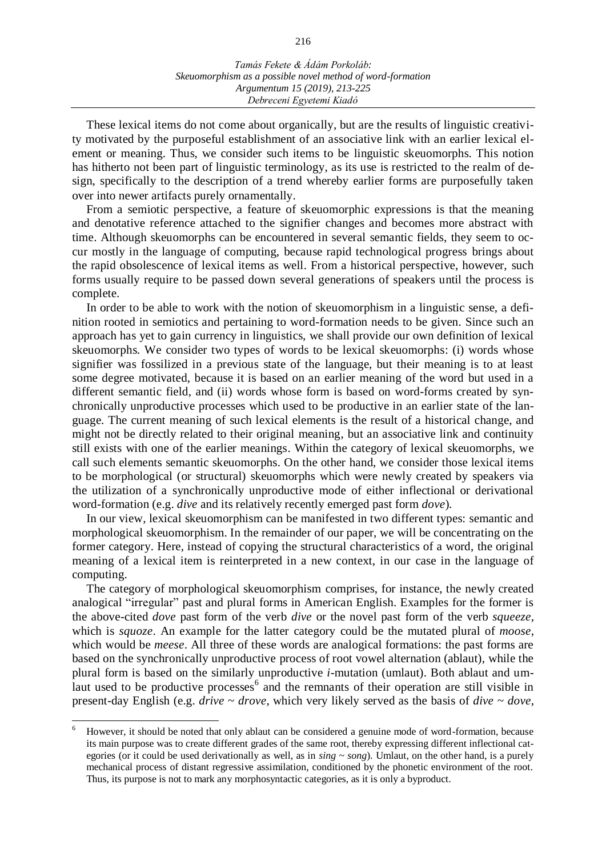These lexical items do not come about organically, but are the results of linguistic creativity motivated by the purposeful establishment of an associative link with an earlier lexical element or meaning. Thus, we consider such items to be linguistic skeuomorphs. This notion has hitherto not been part of linguistic terminology, as its use is restricted to the realm of design, specifically to the description of a trend whereby earlier forms are purposefully taken over into newer artifacts purely ornamentally.

From a semiotic perspective, a feature of skeuomorphic expressions is that the meaning and denotative reference attached to the signifier changes and becomes more abstract with time. Although skeuomorphs can be encountered in several semantic fields, they seem to occur mostly in the language of computing, because rapid technological progress brings about the rapid obsolescence of lexical items as well. From a historical perspective, however, such forms usually require to be passed down several generations of speakers until the process is complete.

In order to be able to work with the notion of skeuomorphism in a linguistic sense, a definition rooted in semiotics and pertaining to word-formation needs to be given. Since such an approach has yet to gain currency in linguistics, we shall provide our own definition of lexical skeuomorphs. We consider two types of words to be lexical skeuomorphs: (i) words whose signifier was fossilized in a previous state of the language, but their meaning is to at least some degree motivated, because it is based on an earlier meaning of the word but used in a different semantic field, and (ii) words whose form is based on word-forms created by synchronically unproductive processes which used to be productive in an earlier state of the language. The current meaning of such lexical elements is the result of a historical change, and might not be directly related to their original meaning, but an associative link and continuity still exists with one of the earlier meanings. Within the category of lexical skeuomorphs, we call such elements semantic skeuomorphs*.* On the other hand, we consider those lexical items to be morphological (or structural) skeuomorphs which were newly created by speakers via the utilization of a synchronically unproductive mode of either inflectional or derivational word-formation (e.g. *dive* and its relatively recently emerged past form *dove*)*.*

In our view, lexical skeuomorphism can be manifested in two different types: semantic and morphological skeuomorphism. In the remainder of our paper, we will be concentrating on the former category. Here, instead of copying the structural characteristics of a word, the original meaning of a lexical item is reinterpreted in a new context, in our case in the language of computing.

The category of morphological skeuomorphism comprises, for instance, the newly created analogical "irregular" past and plural forms in American English. Examples for the former is the above-cited *dove* past form of the verb *dive* or the novel past form of the verb *squeeze*, which is *squoze*. An example for the latter category could be the mutated plural of *moose*, which would be *meese*. All three of these words are analogical formations: the past forms are based on the synchronically unproductive process of root vowel alternation (ablaut), while the plural form is based on the similarly unproductive *i*-mutation (umlaut). Both ablaut and umlaut used to be productive processes<sup>6</sup> and the remnants of their operation are still visible in present-day English (e.g. *drive* ~ *drove*, which very likely served as the basis of *dive* ~ *dove*,

<sup>6</sup> However, it should be noted that only ablaut can be considered a genuine mode of word-formation, because its main purpose was to create different grades of the same root, thereby expressing different inflectional categories (or it could be used derivationally as well, as in *sing* ~ *song*). Umlaut, on the other hand, is a purely mechanical process of distant regressive assimilation, conditioned by the phonetic environment of the root. Thus, its purpose is not to mark any morphosyntactic categories, as it is only a byproduct.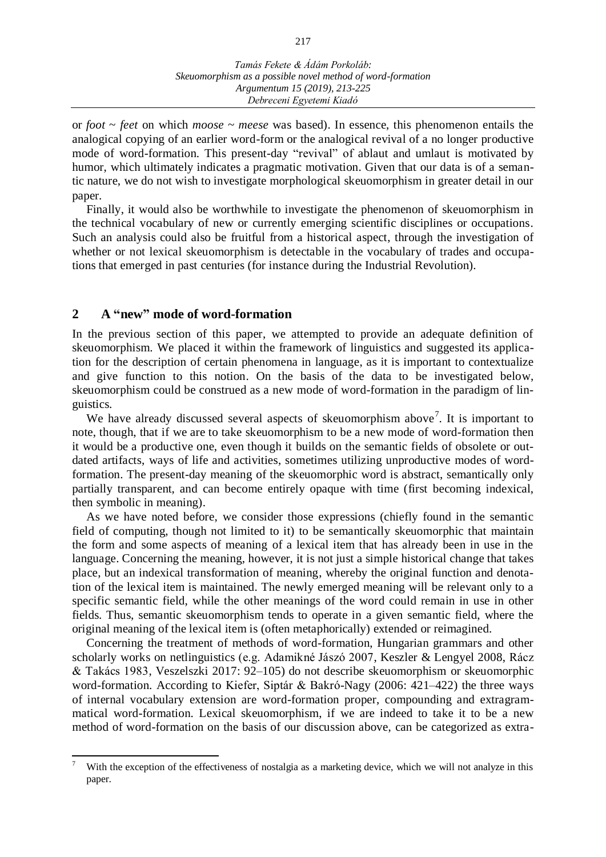or *foot* ~ *feet* on which *moose* ~ *meese* was based). In essence, this phenomenon entails the analogical copying of an earlier word-form or the analogical revival of a no longer productive mode of word-formation. This present-day "revival" of ablaut and umlaut is motivated by humor, which ultimately indicates a pragmatic motivation. Given that our data is of a semantic nature, we do not wish to investigate morphological skeuomorphism in greater detail in our paper.

Finally, it would also be worthwhile to investigate the phenomenon of skeuomorphism in the technical vocabulary of new or currently emerging scientific disciplines or occupations. Such an analysis could also be fruitful from a historical aspect, through the investigation of whether or not lexical skeuomorphism is detectable in the vocabulary of trades and occupations that emerged in past centuries (for instance during the Industrial Revolution).

#### **2 A "new" mode of word-formation**

 $\overline{a}$ 

In the previous section of this paper, we attempted to provide an adequate definition of skeuomorphism. We placed it within the framework of linguistics and suggested its application for the description of certain phenomena in language, as it is important to contextualize and give function to this notion. On the basis of the data to be investigated below, skeuomorphism could be construed as a new mode of word-formation in the paradigm of linguistics.

We have already discussed several aspects of skeuomorphism above<sup>7</sup>. It is important to note, though, that if we are to take skeuomorphism to be a new mode of word-formation then it would be a productive one, even though it builds on the semantic fields of obsolete or outdated artifacts, ways of life and activities, sometimes utilizing unproductive modes of wordformation. The present-day meaning of the skeuomorphic word is abstract, semantically only partially transparent, and can become entirely opaque with time (first becoming indexical, then symbolic in meaning).

As we have noted before, we consider those expressions (chiefly found in the semantic field of computing, though not limited to it) to be semantically skeuomorphic that maintain the form and some aspects of meaning of a lexical item that has already been in use in the language. Concerning the meaning, however, it is not just a simple historical change that takes place, but an indexical transformation of meaning, whereby the original function and denotation of the lexical item is maintained. The newly emerged meaning will be relevant only to a specific semantic field, while the other meanings of the word could remain in use in other fields. Thus, semantic skeuomorphism tends to operate in a given semantic field, where the original meaning of the lexical item is (often metaphorically) extended or reimagined.

Concerning the treatment of methods of word-formation, Hungarian grammars and other scholarly works on netlinguistics (e.g. Adamikné Jászó 2007, Keszler & Lengyel 2008, Rácz & Takács 1983, Veszelszki 2017: 92–105) do not describe skeuomorphism or skeuomorphic word-formation. According to Kiefer, Siptár & Bakró-Nagy (2006: 421–422) the three ways of internal vocabulary extension are word-formation proper, compounding and extragrammatical word-formation. Lexical skeuomorphism, if we are indeed to take it to be a new method of word-formation on the basis of our discussion above, can be categorized as extra-

With the exception of the effectiveness of nostalgia as a marketing device, which we will not analyze in this paper.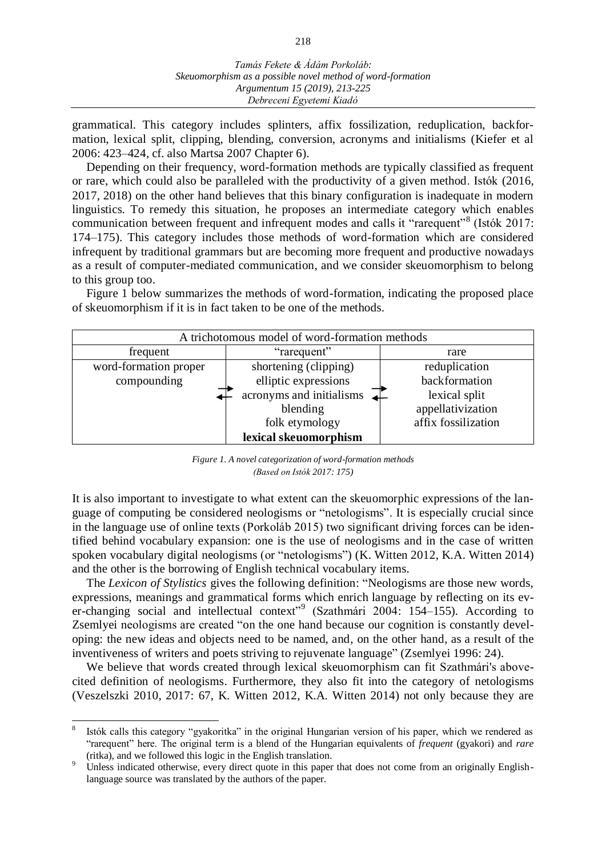grammatical. This category includes splinters, affix fossilization, reduplication, backformation, lexical split, clipping, blending, conversion, acronyms and initialisms (Kiefer et al 2006: 423–424, cf. also Martsa 2007 Chapter 6).

Depending on their frequency, word-formation methods are typically classified as frequent or rare, which could also be paralleled with the productivity of a given method. Istók (2016, 2017, 2018) on the other hand believes that this binary configuration is inadequate in modern linguistics. To remedy this situation, he proposes an intermediate category which enables communication between frequent and infrequent modes and calls it "rarequent"<sup>8</sup> (Istók 2017: 174–175). This category includes those methods of word-formation which are considered infrequent by traditional grammars but are becoming more frequent and productive nowadays as a result of computer-mediated communication, and we consider skeuomorphism to belong to this group too.

Figure 1 below summarizes the methods of word-formation, indicating the proposed place of skeuomorphism if it is in fact taken to be one of the methods.



*Figure 1. A novel categorization of word-formation methods (Based on Istók 2017: 175)*

It is also important to investigate to what extent can the skeuomorphic expressions of the language of computing be considered neologisms or "netologisms". It is especially crucial since in the language use of online texts (Porkoláb 2015) two significant driving forces can be identified behind vocabulary expansion: one is the use of neologisms and in the case of written spoken vocabulary digital neologisms (or "netologisms") (K. Witten 2012, K.A. Witten 2014) and the other is the borrowing of English technical vocabulary items.

The *Lexicon of Stylistics* gives the following definition: "Neologisms are those new words, expressions, meanings and grammatical forms which enrich language by reflecting on its ever-changing social and intellectual context"<sup>9</sup> (Szathmári 2004: 154–155). According to Zsemlyei neologisms are created "on the one hand because our cognition is constantly developing: the new ideas and objects need to be named, and, on the other hand, as a result of the inventiveness of writers and poets striving to rejuvenate language" (Zsemlyei 1996: 24).

We believe that words created through lexical skeuomorphism can fit Szathmári's abovecited definition of neologisms. Furthermore, they also fit into the category of netologisms (Veszelszki 2010, 2017: 67, K. Witten 2012, K.A. Witten 2014) not only because they are

<sup>8</sup> Istók calls this category "gyakoritka" in the original Hungarian version of his paper, which we rendered as "rarequent" here. The original term is a blend of the Hungarian equivalents of *frequent* (gyakori) and *rare* (ritka), and we followed this logic in the English translation.

Unless indicated otherwise, every direct quote in this paper that does not come from an originally Englishlanguage source was translated by the authors of the paper.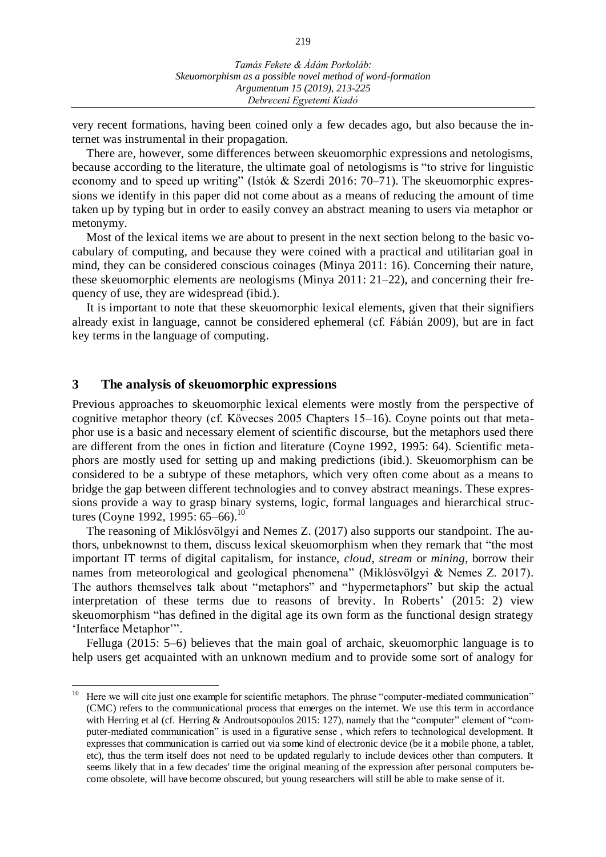very recent formations, having been coined only a few decades ago, but also because the internet was instrumental in their propagation.

There are, however, some differences between skeuomorphic expressions and netologisms, because according to the literature, the ultimate goal of netologisms is "to strive for linguistic economy and to speed up writing" (Istók & Szerdi 2016: 70–71). The skeuomorphic expressions we identify in this paper did not come about as a means of reducing the amount of time taken up by typing but in order to easily convey an abstract meaning to users via metaphor or metonymy.

Most of the lexical items we are about to present in the next section belong to the basic vocabulary of computing, and because they were coined with a practical and utilitarian goal in mind, they can be considered conscious coinages (Minya 2011: 16). Concerning their nature, these skeuomorphic elements are neologisms (Minya 2011: 21–22), and concerning their frequency of use, they are widespread (ibid.).

It is important to note that these skeuomorphic lexical elements, given that their signifiers already exist in language, cannot be considered ephemeral (cf. Fábián 2009), but are in fact key terms in the language of computing.

#### **3 The analysis of skeuomorphic expressions**

Previous approaches to skeuomorphic lexical elements were mostly from the perspective of cognitive metaphor theory (cf. Kövecses 2005 Chapters 15–16). Coyne points out that metaphor use is a basic and necessary element of scientific discourse, but the metaphors used there are different from the ones in fiction and literature (Coyne 1992, 1995: 64). Scientific metaphors are mostly used for setting up and making predictions (ibid.). Skeuomorphism can be considered to be a subtype of these metaphors, which very often come about as a means to bridge the gap between different technologies and to convey abstract meanings. These expressions provide a way to grasp binary systems, logic, formal languages and hierarchical structures (Coyne 1992, 1995: 65–66). 10

The reasoning of Miklósvölgyi and Nemes Z. (2017) also supports our standpoint. The authors, unbeknownst to them, discuss lexical skeuomorphism when they remark that "the most important IT terms of digital capitalism, for instance, *cloud*, *stream* or *mining*, borrow their names from meteorological and geological phenomena" (Miklósvölgyi & Nemes Z. 2017). The authors themselves talk about "metaphors" and "hypermetaphors" but skip the actual interpretation of these terms due to reasons of brevity. In Roberts' (2015: 2) view skeuomorphism "has defined in the digital age its own form as the functional design strategy 'Interface Metaphor'".

Felluga (2015: 5–6) believes that the main goal of archaic, skeuomorphic language is to help users get acquainted with an unknown medium and to provide some sort of analogy for

 $10\,$ Here we will cite just one example for scientific metaphors. The phrase "computer-mediated communication" (CMC) refers to the communicational process that emerges on the internet. We use this term in accordance with Herring et al (cf. Herring & Androutsopoulos 2015: 127), namely that the "computer" element of "computer-mediated communication" is used in a figurative sense , which refers to technological development. It expresses that communication is carried out via some kind of electronic device (be it a mobile phone, a tablet, etc), thus the term itself does not need to be updated regularly to include devices other than computers. It seems likely that in a few decades' time the original meaning of the expression after personal computers become obsolete, will have become obscured, but young researchers will still be able to make sense of it.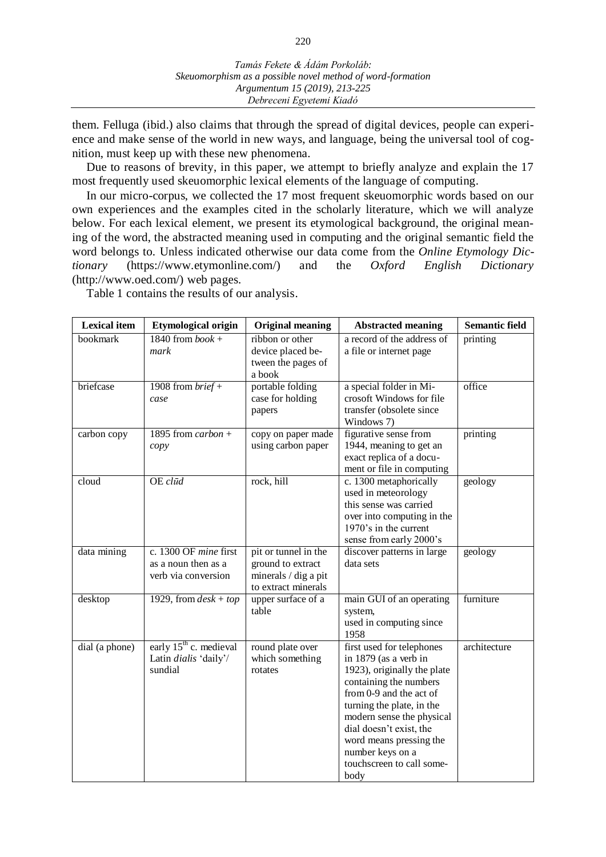them. Felluga (ibid.) also claims that through the spread of digital devices, people can experience and make sense of the world in new ways, and language, being the universal tool of cognition, must keep up with these new phenomena.

Due to reasons of brevity, in this paper, we attempt to briefly analyze and explain the 17 most frequently used skeuomorphic lexical elements of the language of computing.

In our micro-corpus, we collected the 17 most frequent skeuomorphic words based on our own experiences and the examples cited in the scholarly literature, which we will analyze below. For each lexical element, we present its etymological background, the original meaning of the word, the abstracted meaning used in computing and the original semantic field the word belongs to. Unless indicated otherwise our data come from the *Online Etymology Dictionary* (https://www.etymonline.com/) and the *Oxford English Dictionary* (http://www.oed.com/) web pages.

**Lexical item Etymological origin Original meaning Abstracted meaning Semantic field** bookmark 1840 from *book* + *mark* ribbon or other device placed between the pages of a book a record of the address of a file or internet page printing briefcase 1908 from *brief* + *case* portable folding case for holding papers a special folder in Microsoft Windows for file transfer (obsolete since Windows 7) office carbon copy 1895 from *carbon* + *copy* copy on paper made using carbon paper figurative sense from 1944, meaning to get an exact replica of a document or file in computing printing cloud OE *clūd* rock, hill c. 1300 metaphorically used in meteorology this sense was carried over into computing in the 1970's in the current sense from early 2000's geology data mining c. 1300 OF *mine* first as a noun then as a verb via conversion pit or tunnel in the ground to extract minerals / dig a pit to extract minerals discover patterns in large data sets geology desktop 1929, from  $\text{des } k + \text{top}$  upper surface of a table main GUI of an operating system, used in computing since 1958 furniture dial (a phone) early 15<sup>th</sup> c. medieval Latin *dialis* 'daily'/ sundial round plate over which something rotates first used for telephones in 1879 (as a verb in 1923), originally the plate containing the numbers from 0-9 and the act of turning the plate, in the modern sense the physical dial doesn't exist, the word means pressing the number keys on a touchscreen to call somebody architecture

Table 1 contains the results of our analysis.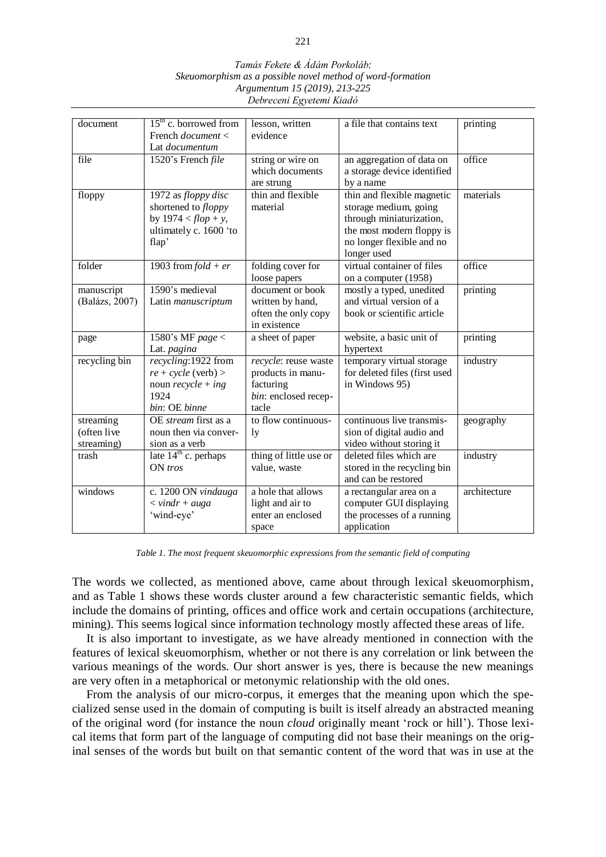#### *Tamás Fekete & Ádám Porkoláb: Skeuomorphism as a possible novel method of word-formation Argumentum 15 (2019), 213-225 Debreceni Egyetemi Kiadó*

|                | $15th$ c. borrowed from                                   |                        |                               |              |
|----------------|-----------------------------------------------------------|------------------------|-------------------------------|--------------|
| document       |                                                           | lesson, written        | a file that contains text     | printing     |
|                | French <i>document</i> <                                  | evidence               |                               |              |
|                | Lat <i>documentum</i>                                     |                        |                               |              |
| file           | 1520's French file                                        | string or wire on      | an aggregation of data on     | office       |
|                |                                                           | which documents        | a storage device identified   |              |
|                |                                                           | are strung             | by a name                     |              |
| floppy         | 1972 as floppy disc                                       | thin and flexible      | thin and flexible magnetic    | materials    |
|                | shortened to <i>floppy</i>                                | material               | storage medium, going         |              |
|                | by $1974 < flop + y$ ,                                    |                        | through miniaturization,      |              |
|                | ultimately c. 1600 'to                                    |                        | the most modern floppy is     |              |
|                | flap'                                                     |                        | no longer flexible and no     |              |
|                |                                                           |                        | longer used                   |              |
| folder         | 1903 from $fold + er$                                     | folding cover for      | virtual container of files    | office       |
|                |                                                           | loose papers           | on a computer (1958)          |              |
| manuscript     | 1590's medieval                                           | document or book       | mostly a typed, unedited      | printing     |
| (Balázs, 2007) | Latin manuscriptum                                        | written by hand,       | and virtual version of a      |              |
|                |                                                           | often the only copy    | book or scientific article    |              |
|                |                                                           | in existence           |                               |              |
| page           | 1580's MF page <                                          | a sheet of paper       | website, a basic unit of      | printing     |
|                | Lat. pagina                                               |                        | hypertext                     |              |
| recycling bin  | recycling:1922 from                                       | recycle: reuse waste   | temporary virtual storage     | industry     |
|                | $re + cycle$ (verb) >                                     | products in manu-      | for deleted files (first used |              |
|                | noun $recycle + ing$                                      | facturing              | in Windows 95)                |              |
|                | 1924                                                      | bin: enclosed recep-   |                               |              |
|                | bin: OE binne                                             | tacle                  |                               |              |
| streaming      | OE stream first as a                                      | to flow continuous-    | continuous live transmis-     | geography    |
| (often live    | noun then via conver-                                     | 1y                     | sion of digital audio and     |              |
| streaming)     | sion as a verb                                            |                        | video without storing it      |              |
| trash          | late $14th$ c. perhaps                                    |                        | deleted files which are       |              |
|                |                                                           | thing of little use or |                               | industry     |
|                | $ON$ tros                                                 | value, waste           | stored in the recycling bin   |              |
|                |                                                           |                        | and can be restored           |              |
| windows        | c. 1200 ON vindauga                                       | a hole that allows     | a rectangular area on a       | architecture |
|                | $\langle \nabla \times \nu \rangle = \langle \nu \rangle$ | light and air to       | computer GUI displaying       |              |
|                | 'wind-eye'                                                | enter an enclosed      | the processes of a running    |              |
|                |                                                           | space                  | application                   |              |

*Table 1. The most frequent skeuomorphic expressions from the semantic field of computing*

The words we collected, as mentioned above, came about through lexical skeuomorphism, and as Table 1 shows these words cluster around a few characteristic semantic fields, which include the domains of printing, offices and office work and certain occupations (architecture, mining). This seems logical since information technology mostly affected these areas of life.

It is also important to investigate, as we have already mentioned in connection with the features of lexical skeuomorphism, whether or not there is any correlation or link between the various meanings of the words. Our short answer is yes, there is because the new meanings are very often in a metaphorical or metonymic relationship with the old ones.

From the analysis of our micro-corpus, it emerges that the meaning upon which the specialized sense used in the domain of computing is built is itself already an abstracted meaning of the original word (for instance the noun *cloud* originally meant 'rock or hill'). Those lexical items that form part of the language of computing did not base their meanings on the original senses of the words but built on that semantic content of the word that was in use at the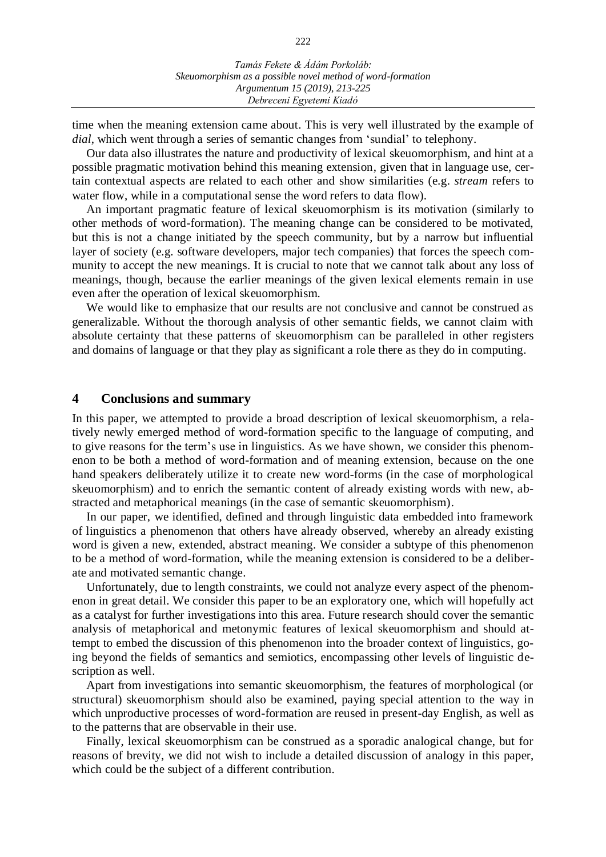time when the meaning extension came about. This is very well illustrated by the example of *dial*, which went through a series of semantic changes from 'sundial' to telephony.

Our data also illustrates the nature and productivity of lexical skeuomorphism, and hint at a possible pragmatic motivation behind this meaning extension, given that in language use, certain contextual aspects are related to each other and show similarities (e.g. *stream* refers to water flow, while in a computational sense the word refers to data flow).

An important pragmatic feature of lexical skeuomorphism is its motivation (similarly to other methods of word-formation). The meaning change can be considered to be motivated, but this is not a change initiated by the speech community, but by a narrow but influential layer of society (e.g. software developers, major tech companies) that forces the speech community to accept the new meanings. It is crucial to note that we cannot talk about any loss of meanings, though, because the earlier meanings of the given lexical elements remain in use even after the operation of lexical skeuomorphism.

We would like to emphasize that our results are not conclusive and cannot be construed as generalizable. Without the thorough analysis of other semantic fields, we cannot claim with absolute certainty that these patterns of skeuomorphism can be paralleled in other registers and domains of language or that they play as significant a role there as they do in computing.

#### **4 Conclusions and summary**

In this paper, we attempted to provide a broad description of lexical skeuomorphism, a relatively newly emerged method of word-formation specific to the language of computing, and to give reasons for the term's use in linguistics. As we have shown, we consider this phenomenon to be both a method of word-formation and of meaning extension, because on the one hand speakers deliberately utilize it to create new word-forms (in the case of morphological skeuomorphism) and to enrich the semantic content of already existing words with new, abstracted and metaphorical meanings (in the case of semantic skeuomorphism).

In our paper, we identified, defined and through linguistic data embedded into framework of linguistics a phenomenon that others have already observed, whereby an already existing word is given a new, extended, abstract meaning. We consider a subtype of this phenomenon to be a method of word-formation, while the meaning extension is considered to be a deliberate and motivated semantic change.

Unfortunately, due to length constraints, we could not analyze every aspect of the phenomenon in great detail. We consider this paper to be an exploratory one, which will hopefully act as a catalyst for further investigations into this area. Future research should cover the semantic analysis of metaphorical and metonymic features of lexical skeuomorphism and should attempt to embed the discussion of this phenomenon into the broader context of linguistics, going beyond the fields of semantics and semiotics, encompassing other levels of linguistic description as well.

Apart from investigations into semantic skeuomorphism, the features of morphological (or structural) skeuomorphism should also be examined, paying special attention to the way in which unproductive processes of word-formation are reused in present-day English, as well as to the patterns that are observable in their use.

Finally, lexical skeuomorphism can be construed as a sporadic analogical change, but for reasons of brevity, we did not wish to include a detailed discussion of analogy in this paper, which could be the subject of a different contribution.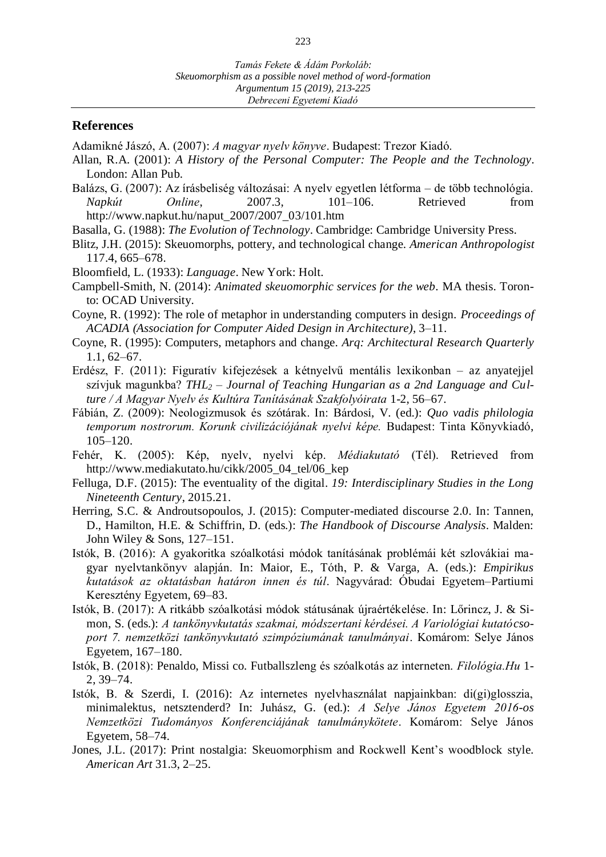#### **References**

Adamikné Jászó, A. (2007): *A magyar nyelv könyve*. Budapest: Trezor Kiadó.

- Allan, R.A. (2001): *A History of the Personal Computer: The People and the Technology*. London: Allan Pub.
- Balázs, G. (2007): Az írásbeliség változásai: A nyelv egyetlen létforma de több technológia. *Napkút Online*, 2007.3, 101–106. Retrieved from http://www.napkut.hu/naput\_2007/2007\_03/101.htm
- Basalla, G. (1988): *The Evolution of Technology*. Cambridge: Cambridge University Press.
- Blitz, J.H. (2015): Skeuomorphs, pottery, and technological change. *American Anthropologist* 117.4, 665–678.
- Bloomfield, L. (1933): *Language*. New York: Holt.
- Campbell-Smith, N. (2014): *Animated skeuomorphic services for the web.* MA thesis. Toronto: OCAD University.
- Coyne, R. (1992): The role of metaphor in understanding computers in design. *Proceedings of ACADIA (Association for Computer Aided Design in Architecture)*, 3–11.
- Coyne, R. (1995): Computers, metaphors and change. *Arq: Architectural Research Quarterly* 1.1, 62–67.
- Erdész, F. (2011): Figuratív kifejezések a kétnyelvű mentális lexikonban az anyatejjel szívjuk magunkba? *THL<sup>2</sup> – Journal of Teaching Hungarian as a 2nd Language and Culture / A Magyar Nyelv és Kultúra Tanításának Szakfolyóirata* 1-2, 56–67.
- Fábián, Z. (2009): Neologizmusok és szótárak. In: Bárdosi, V. (ed.): *Quo vadis philologia temporum nostrorum. Korunk civilizációjának nyelvi képe.* Budapest: Tinta Könyvkiadó, 105–120.
- Fehér, K. (2005): Kép, nyelv, nyelvi kép. *Médiakutató* (Tél). Retrieved from http://www.mediakutato.hu/cikk/2005\_04\_tel/06\_kep
- Felluga, D.F. (2015): The eventuality of the digital. *19: Interdisciplinary Studies in the Long Nineteenth Century*, 2015.21.
- Herring, S.C. & Androutsopoulos, J. (2015): Computer-mediated discourse 2.0. In: Tannen, D., Hamilton, H.E. & Schiffrin, D. (eds.): *The Handbook of Discourse Analysis*. Malden: John Wiley & Sons, 127–151.
- Istók, B. (2016): A gyakoritka szóalkotási módok tanításának problémái két szlovákiai magyar nyelvtankönyv alapján. In: Maior, E., Tóth, P. & Varga, A. (eds.): *Empirikus kutatások az oktatásban határon innen és túl*. Nagyvárad: Óbudai Egyetem–Partiumi Keresztény Egyetem, 69–83.
- Istók, B. (2017): A ritkább szóalkotási módok státusának újraértékelése. In: Lőrincz, J. & Simon, S. (eds.): *A tankönyvkutatás szakmai, módszertani kérdései. A Variológiai kutatócsoport 7. nemzetközi tankönyvkutató szimpóziumának tanulmányai*. Komárom: Selye János Egyetem, 167–180.
- Istók, B. (2018): Penaldo, Missi co. Futballszleng és szóalkotás az interneten. *Filológia.Hu* 1- 2, 39–74.
- Istók, B. & Szerdi, I. (2016): Az internetes nyelvhasználat napjainkban: di(gi)glosszia, minimalektus, netsztenderd? In: Juhász, G. (ed.): *A Selye János Egyetem 2016-os Nemzetközi Tudományos Konferenciájának tanulmánykötete*. Komárom: Selye János Egyetem, 58–74.
- Jones, J.L. (2017): Print nostalgia: Skeuomorphism and Rockwell Kent's woodblock style. *American Art* 31.3, 2–25.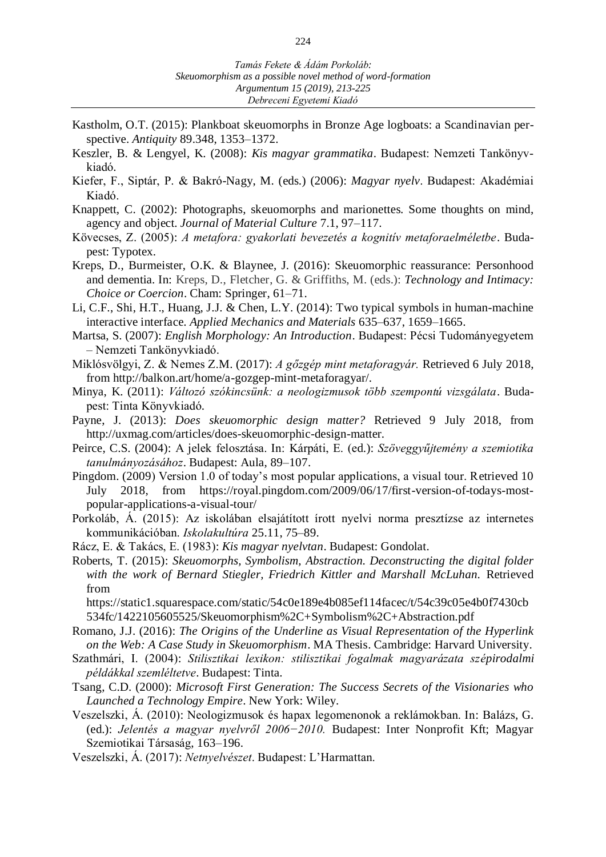- Kastholm, O.T. (2015): Plankboat skeuomorphs in Bronze Age logboats: a Scandinavian perspective. *Antiquity* 89.348, 1353–1372.
- Keszler, B. & Lengyel, K. (2008): *Kis magyar grammatika*. Budapest: Nemzeti Tankönyvkiadó.
- Kiefer, F., Siptár, P. & Bakró-Nagy, M. (eds.) (2006): *Magyar nyelv*. Budapest: Akadémiai Kiadó.
- Knappett, C. (2002): Photographs, skeuomorphs and marionettes. Some thoughts on mind, agency and object. *Journal of Material Culture* 7.1, 97–117.
- Kövecses, Z. (2005): *A metafora: gyakorlati bevezetés a kognitív metaforaelméletbe*. Budapest: Typotex.
- Kreps, D., Burmeister, O.K. & Blaynee, J. (2016): Skeuomorphic reassurance: Personhood and dementia. In: Kreps, D., Fletcher, G. & Griffiths, M. (eds.): *Technology and Intimacy: Choice or Coercion*. Cham: Springer, 61–71.
- Li, C.F., Shi, H.T., Huang, J.J. & Chen, L.Y. (2014): Two typical symbols in human-machine interactive interface. *Applied Mechanics and Materials* 635–637, 1659–1665.
- Martsa, S. (2007): *English Morphology: An Introduction*. Budapest: Pécsi Tudományegyetem – Nemzeti Tankönyvkiadó.
- Miklósvölgyi, Z. & Nemes Z.M. (2017): *A gőzgép mint metaforagyár.* Retrieved 6 July 2018, from http://balkon.art/home/a-gozgep-mint-metaforagyar/.
- Minya, K. (2011): *Változó szókincsünk: a neologizmusok több szempontú vizsgálata*. Budapest: Tinta Könyvkiadó.
- Payne, J. (2013): *Does skeuomorphic design matter?* Retrieved 9 July 2018, from http://uxmag.com/articles/does-skeuomorphic-design-matter.
- Peirce, C.S. (2004): A jelek felosztása. In: Kárpáti, E. (ed.): *Szöveggyűjtemény a szemiotika tanulmányozásához*. Budapest: Aula, 89–107.
- Pingdom. (2009) Version 1.0 of today's most popular applications, a visual tour. Retrieved 10 July 2018, from https://royal.pingdom.com/2009/06/17/first-version-of-todays-mostpopular-applications-a-visual-tour/
- Porkoláb, Á. (2015): Az iskolában elsajátított írott nyelvi norma presztízse az internetes kommunikációban. *Iskolakultúra* 25.11, 75–89.
- Rácz, E. & Takács, E. (1983): *Kis magyar nyelvtan*. Budapest: Gondolat.
- Roberts, T. (2015): *Skeuomorphs, Symbolism, Abstraction. Deconstructing the digital folder with the work of Bernard Stiegler, Friedrich Kittler and Marshall McLuhan.* Retrieved from

https://static1.squarespace.com/static/54c0e189e4b085ef114facec/t/54c39c05e4b0f7430cb 534fc/1422105605525/Skeuomorphism%2C+Symbolism%2C+Abstraction.pdf

- Romano, J.J. (2016): *The Origins of the Underline as Visual Representation of the Hyperlink on the Web: A Case Study in Skeuomorphism*. MA Thesis. Cambridge: Harvard University.
- Szathmári, I. (2004): *Stilisztikai lexikon: stilisztikai fogalmak magyarázata szépirodalmi példákkal szemléltetve*. Budapest: Tinta.

Tsang, C.D. (2000): *Microsoft First Generation: The Success Secrets of the Visionaries who Launched a Technology Empire*. New York: Wiley.

- Veszelszki, Á. (2010): Neologizmusok és hapax legomenonok a reklámokban. In: Balázs, G. (ed.): *Jelentés a magyar nyelvről 2006−2010.* Budapest: Inter Nonprofit Kft; Magyar Szemiotikai Társaság, 163–196.
- Veszelszki, Á. (2017): *Netnyelvészet*. Budapest: L'Harmattan.